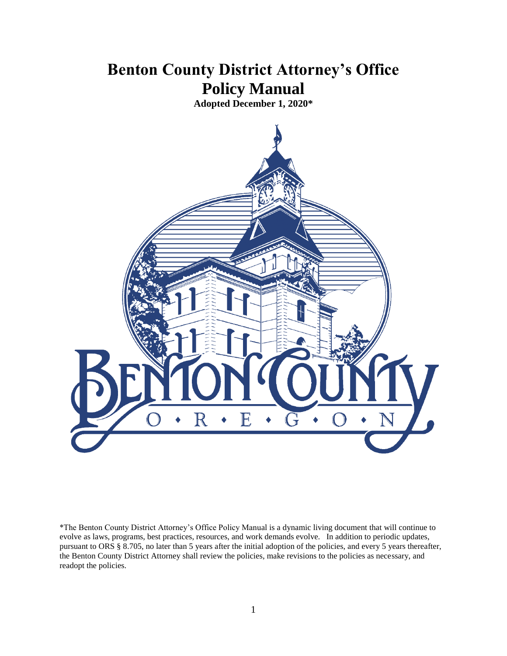# **Benton County District Attorney's Office Policy Manual**

**Adopted December 1, 2020\***



\*The Benton County District Attorney's Office Policy Manual is a dynamic living document that will continue to evolve as laws, programs, best practices, resources, and work demands evolve. In addition to periodic updates, pursuant to ORS § 8.705, no later than 5 years after the initial adoption of the policies, and every 5 years thereafter, the Benton County District Attorney shall review the policies, make revisions to the policies as necessary, and readopt the policies.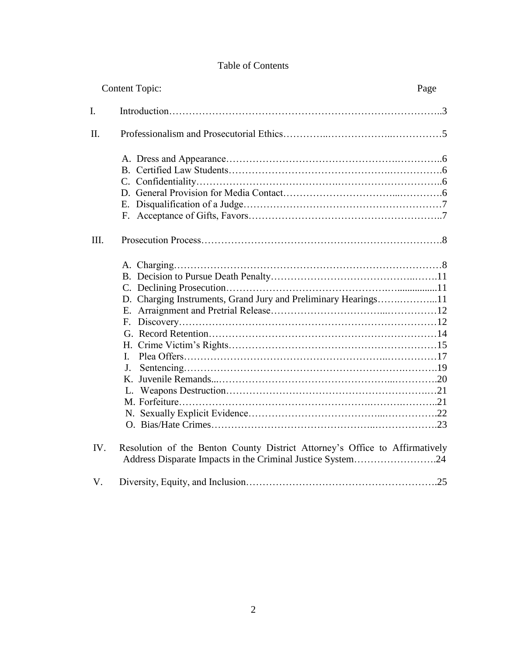# Table of Contents

| <b>Content Topic:</b> |                                                                                                                                           | Page |
|-----------------------|-------------------------------------------------------------------------------------------------------------------------------------------|------|
| $\mathbf{I}$ .        |                                                                                                                                           |      |
| II.                   |                                                                                                                                           |      |
|                       |                                                                                                                                           |      |
| III.                  |                                                                                                                                           |      |
|                       | D. Charging Instruments, Grand Jury and Preliminary Hearings11<br>Е.<br>L.<br>J.                                                          |      |
| IV.                   | Resolution of the Benton County District Attorney's Office to Affirmatively<br>Address Disparate Impacts in the Criminal Justice System24 |      |
| V.                    |                                                                                                                                           |      |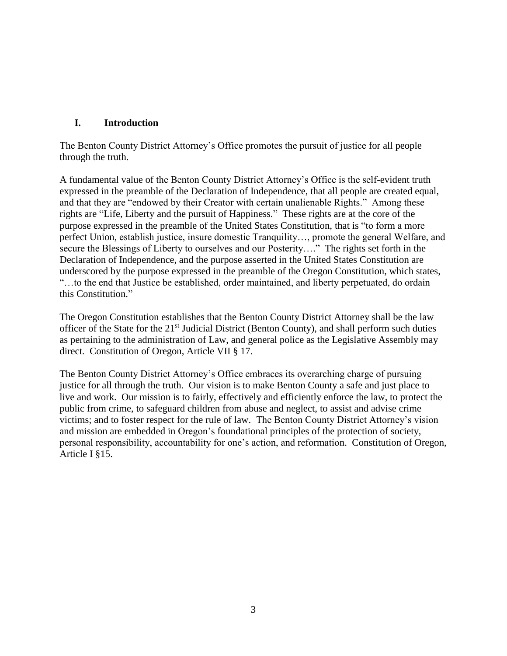# **I. Introduction**

The Benton County District Attorney's Office promotes the pursuit of justice for all people through the truth.

A fundamental value of the Benton County District Attorney's Office is the self-evident truth expressed in the preamble of the Declaration of Independence, that all people are created equal, and that they are "endowed by their Creator with certain unalienable Rights." Among these rights are "Life, Liberty and the pursuit of Happiness." These rights are at the core of the purpose expressed in the preamble of the United States Constitution, that is "to form a more perfect Union, establish justice, insure domestic Tranquility…, promote the general Welfare, and secure the Blessings of Liberty to ourselves and our Posterity…." The rights set forth in the Declaration of Independence, and the purpose asserted in the United States Constitution are underscored by the purpose expressed in the preamble of the Oregon Constitution, which states, "…to the end that Justice be established, order maintained, and liberty perpetuated, do ordain this Constitution."

The Oregon Constitution establishes that the Benton County District Attorney shall be the law officer of the State for the 21<sup>st</sup> Judicial District (Benton County), and shall perform such duties as pertaining to the administration of Law, and general police as the Legislative Assembly may direct. Constitution of Oregon, Article VII § 17.

The Benton County District Attorney's Office embraces its overarching charge of pursuing justice for all through the truth. Our vision is to make Benton County a safe and just place to live and work. Our mission is to fairly, effectively and efficiently enforce the law, to protect the public from crime, to safeguard children from abuse and neglect, to assist and advise crime victims; and to foster respect for the rule of law. The Benton County District Attorney's vision and mission are embedded in Oregon's foundational principles of the protection of society, personal responsibility, accountability for one's action, and reformation. Constitution of Oregon, Article I §15.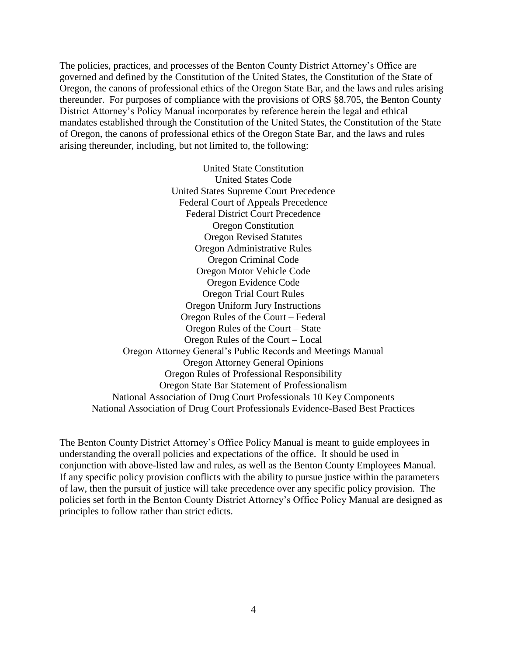The policies, practices, and processes of the Benton County District Attorney's Office are governed and defined by the Constitution of the United States, the Constitution of the State of Oregon, the canons of professional ethics of the Oregon State Bar, and the laws and rules arising thereunder. For purposes of compliance with the provisions of ORS §8.705, the Benton County District Attorney's Policy Manual incorporates by reference herein the legal and ethical mandates established through the Constitution of the United States, the Constitution of the State of Oregon, the canons of professional ethics of the Oregon State Bar, and the laws and rules arising thereunder, including, but not limited to, the following:

United State Constitution United States Code United States Supreme Court Precedence Federal Court of Appeals Precedence Federal District Court Precedence Oregon Constitution Oregon Revised Statutes Oregon Administrative Rules Oregon Criminal Code Oregon Motor Vehicle Code Oregon Evidence Code Oregon Trial Court Rules Oregon Uniform Jury Instructions Oregon Rules of the Court – Federal Oregon Rules of the Court – State Oregon Rules of the Court – Local Oregon Attorney General's Public Records and Meetings Manual Oregon Attorney General Opinions Oregon Rules of Professional Responsibility Oregon State Bar Statement of Professionalism National Association of Drug Court Professionals 10 Key Components National Association of Drug Court Professionals Evidence-Based Best Practices

The Benton County District Attorney's Office Policy Manual is meant to guide employees in understanding the overall policies and expectations of the office. It should be used in conjunction with above-listed law and rules, as well as the Benton County Employees Manual. If any specific policy provision conflicts with the ability to pursue justice within the parameters of law, then the pursuit of justice will take precedence over any specific policy provision. The policies set forth in the Benton County District Attorney's Office Policy Manual are designed as principles to follow rather than strict edicts.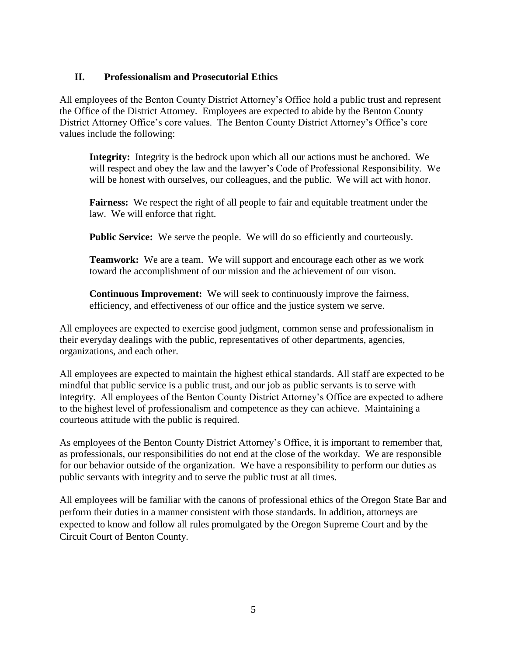# **II. Professionalism and Prosecutorial Ethics**

All employees of the Benton County District Attorney's Office hold a public trust and represent the Office of the District Attorney. Employees are expected to abide by the Benton County District Attorney Office's core values. The Benton County District Attorney's Office's core values include the following:

**Integrity:** Integrity is the bedrock upon which all our actions must be anchored. We will respect and obey the law and the lawyer's Code of Professional Responsibility. We will be honest with ourselves, our colleagues, and the public. We will act with honor.

**Fairness:** We respect the right of all people to fair and equitable treatment under the law. We will enforce that right.

**Public Service:** We serve the people. We will do so efficiently and courteously.

**Teamwork:** We are a team. We will support and encourage each other as we work toward the accomplishment of our mission and the achievement of our vison.

**Continuous Improvement:** We will seek to continuously improve the fairness, efficiency, and effectiveness of our office and the justice system we serve.

All employees are expected to exercise good judgment, common sense and professionalism in their everyday dealings with the public, representatives of other departments, agencies, organizations, and each other.

All employees are expected to maintain the highest ethical standards. All staff are expected to be mindful that public service is a public trust, and our job as public servants is to serve with integrity. All employees of the Benton County District Attorney's Office are expected to adhere to the highest level of professionalism and competence as they can achieve. Maintaining a courteous attitude with the public is required.

As employees of the Benton County District Attorney's Office, it is important to remember that, as professionals, our responsibilities do not end at the close of the workday. We are responsible for our behavior outside of the organization. We have a responsibility to perform our duties as public servants with integrity and to serve the public trust at all times.

All employees will be familiar with the canons of professional ethics of the Oregon State Bar and perform their duties in a manner consistent with those standards. In addition, attorneys are expected to know and follow all rules promulgated by the Oregon Supreme Court and by the Circuit Court of Benton County.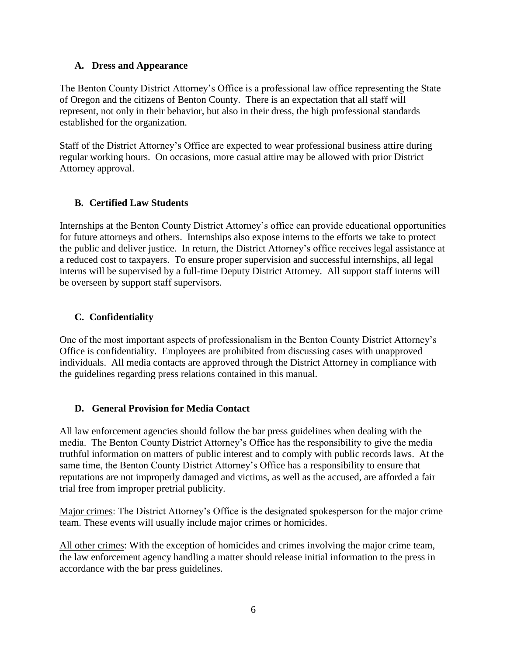## **A. Dress and Appearance**

The Benton County District Attorney's Office is a professional law office representing the State of Oregon and the citizens of Benton County. There is an expectation that all staff will represent, not only in their behavior, but also in their dress, the high professional standards established for the organization.

Staff of the District Attorney's Office are expected to wear professional business attire during regular working hours. On occasions, more casual attire may be allowed with prior District Attorney approval.

# **B. Certified Law Students**

Internships at the Benton County District Attorney's office can provide educational opportunities for future attorneys and others. Internships also expose interns to the efforts we take to protect the public and deliver justice. In return, the District Attorney's office receives legal assistance at a reduced cost to taxpayers. To ensure proper supervision and successful internships, all legal interns will be supervised by a full-time Deputy District Attorney. All support staff interns will be overseen by support staff supervisors.

# **C. Confidentiality**

One of the most important aspects of professionalism in the Benton County District Attorney's Office is confidentiality. Employees are prohibited from discussing cases with unapproved individuals. All media contacts are approved through the District Attorney in compliance with the guidelines regarding press relations contained in this manual.

# **D. General Provision for Media Contact**

All law enforcement agencies should follow the bar press guidelines when dealing with the media. The Benton County District Attorney's Office has the responsibility to give the media truthful information on matters of public interest and to comply with public records laws. At the same time, the Benton County District Attorney's Office has a responsibility to ensure that reputations are not improperly damaged and victims, as well as the accused, are afforded a fair trial free from improper pretrial publicity.

Major crimes: The District Attorney's Office is the designated spokesperson for the major crime team. These events will usually include major crimes or homicides.

All other crimes: With the exception of homicides and crimes involving the major crime team, the law enforcement agency handling a matter should release initial information to the press in accordance with the bar press guidelines.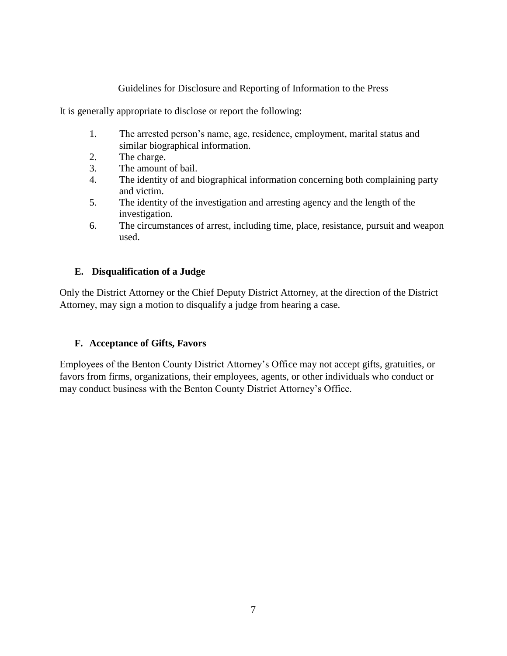## Guidelines for Disclosure and Reporting of Information to the Press

It is generally appropriate to disclose or report the following:

- 1. The arrested person's name, age, residence, employment, marital status and similar biographical information.
- 2. The charge.
- 3. The amount of bail.
- 4. The identity of and biographical information concerning both complaining party and victim.
- 5. The identity of the investigation and arresting agency and the length of the investigation.
- 6. The circumstances of arrest, including time, place, resistance, pursuit and weapon used.

# **E. Disqualification of a Judge**

Only the District Attorney or the Chief Deputy District Attorney, at the direction of the District Attorney, may sign a motion to disqualify a judge from hearing a case.

# **F. Acceptance of Gifts, Favors**

Employees of the Benton County District Attorney's Office may not accept gifts, gratuities, or favors from firms, organizations, their employees, agents, or other individuals who conduct or may conduct business with the Benton County District Attorney's Office.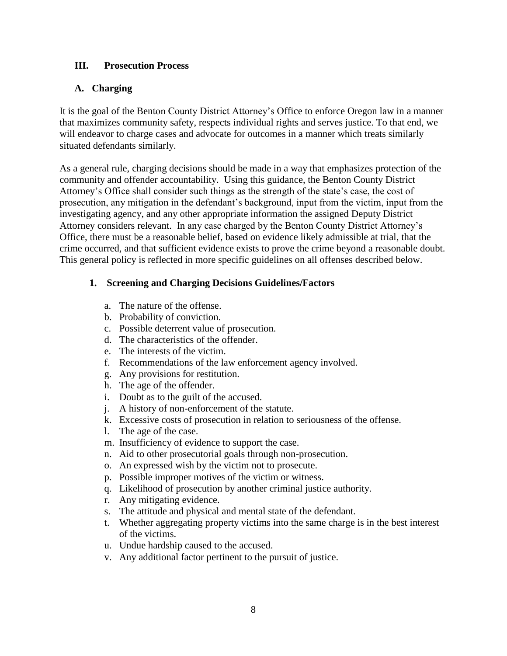## **III. Prosecution Process**

# **A. Charging**

It is the goal of the Benton County District Attorney's Office to enforce Oregon law in a manner that maximizes community safety, respects individual rights and serves justice. To that end, we will endeavor to charge cases and advocate for outcomes in a manner which treats similarly situated defendants similarly.

As a general rule, charging decisions should be made in a way that emphasizes protection of the community and offender accountability. Using this guidance, the Benton County District Attorney's Office shall consider such things as the strength of the state's case, the cost of prosecution, any mitigation in the defendant's background, input from the victim, input from the investigating agency, and any other appropriate information the assigned Deputy District Attorney considers relevant. In any case charged by the Benton County District Attorney's Office, there must be a reasonable belief, based on evidence likely admissible at trial, that the crime occurred, and that sufficient evidence exists to prove the crime beyond a reasonable doubt. This general policy is reflected in more specific guidelines on all offenses described below.

# **1. Screening and Charging Decisions Guidelines/Factors**

- a. The nature of the offense.
- b. Probability of conviction.
- c. Possible deterrent value of prosecution.
- d. The characteristics of the offender.
- e. The interests of the victim.
- f. Recommendations of the law enforcement agency involved.
- g. Any provisions for restitution.
- h. The age of the offender.
- i. Doubt as to the guilt of the accused.
- j. A history of non-enforcement of the statute.
- k. Excessive costs of prosecution in relation to seriousness of the offense.
- l. The age of the case.
- m. Insufficiency of evidence to support the case.
- n. Aid to other prosecutorial goals through non-prosecution.
- o. An expressed wish by the victim not to prosecute.
- p. Possible improper motives of the victim or witness.
- q. Likelihood of prosecution by another criminal justice authority.
- r. Any mitigating evidence.
- s. The attitude and physical and mental state of the defendant.
- t. Whether aggregating property victims into the same charge is in the best interest of the victims.
- u. Undue hardship caused to the accused.
- v. Any additional factor pertinent to the pursuit of justice.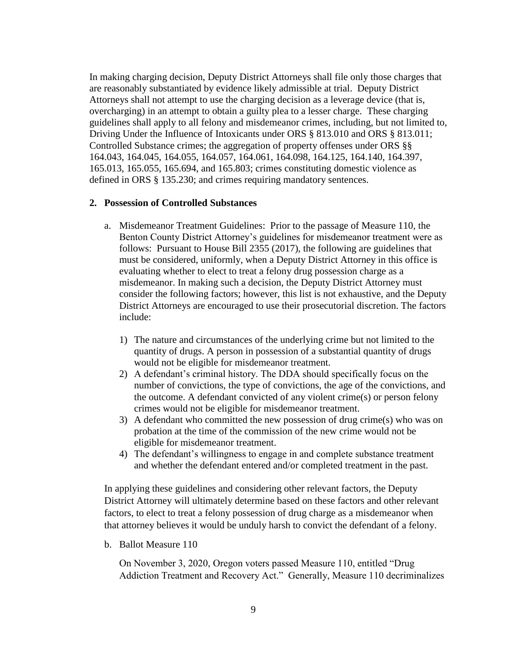In making charging decision, Deputy District Attorneys shall file only those charges that are reasonably substantiated by evidence likely admissible at trial. Deputy District Attorneys shall not attempt to use the charging decision as a leverage device (that is, overcharging) in an attempt to obtain a guilty plea to a lesser charge. These charging guidelines shall apply to all felony and misdemeanor crimes, including, but not limited to, Driving Under the Influence of Intoxicants under ORS § 813.010 and ORS § 813.011; Controlled Substance crimes; the aggregation of property offenses under ORS §§ 164.043, 164.045, 164.055, 164.057, 164.061, 164.098, 164.125, 164.140, 164.397, 165.013, 165.055, 165.694, and 165.803; crimes constituting domestic violence as defined in ORS § 135.230; and crimes requiring mandatory sentences.

#### **2. Possession of Controlled Substances**

- a. Misdemeanor Treatment Guidelines: Prior to the passage of Measure 110, the Benton County District Attorney's guidelines for misdemeanor treatment were as follows: Pursuant to House Bill 2355 (2017), the following are guidelines that must be considered, uniformly, when a Deputy District Attorney in this office is evaluating whether to elect to treat a felony drug possession charge as a misdemeanor. In making such a decision, the Deputy District Attorney must consider the following factors; however, this list is not exhaustive, and the Deputy District Attorneys are encouraged to use their prosecutorial discretion. The factors include:
	- 1) The nature and circumstances of the underlying crime but not limited to the quantity of drugs. A person in possession of a substantial quantity of drugs would not be eligible for misdemeanor treatment.
	- 2) A defendant's criminal history. The DDA should specifically focus on the number of convictions, the type of convictions, the age of the convictions, and the outcome. A defendant convicted of any violent crime(s) or person felony crimes would not be eligible for misdemeanor treatment.
	- 3) A defendant who committed the new possession of drug crime(s) who was on probation at the time of the commission of the new crime would not be eligible for misdemeanor treatment.
	- 4) The defendant's willingness to engage in and complete substance treatment and whether the defendant entered and/or completed treatment in the past.

In applying these guidelines and considering other relevant factors, the Deputy District Attorney will ultimately determine based on these factors and other relevant factors, to elect to treat a felony possession of drug charge as a misdemeanor when that attorney believes it would be unduly harsh to convict the defendant of a felony.

b. Ballot Measure 110

On November 3, 2020, Oregon voters passed Measure 110, entitled "Drug Addiction Treatment and Recovery Act." Generally, Measure 110 decriminalizes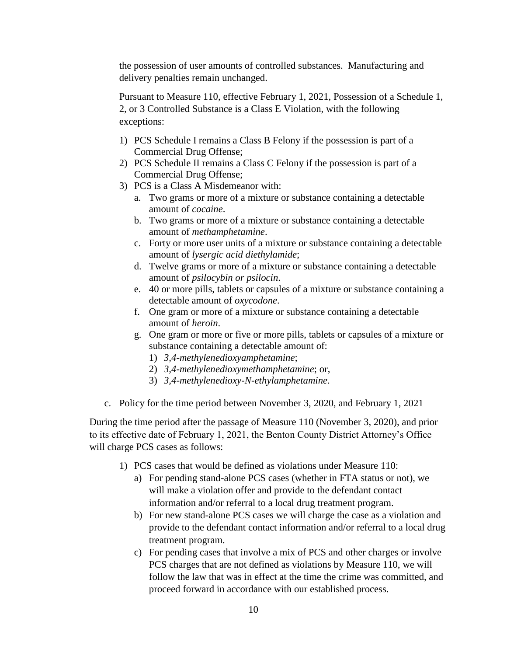the possession of user amounts of controlled substances. Manufacturing and delivery penalties remain unchanged.

Pursuant to Measure 110, effective February 1, 2021, Possession of a Schedule 1, 2, or 3 Controlled Substance is a Class E Violation, with the following exceptions:

- 1) PCS Schedule I remains a Class B Felony if the possession is part of a Commercial Drug Offense;
- 2) PCS Schedule II remains a Class C Felony if the possession is part of a Commercial Drug Offense;
- 3) PCS is a Class A Misdemeanor with:
	- a. Two grams or more of a mixture or substance containing a detectable amount of *cocaine*.
	- b. Two grams or more of a mixture or substance containing a detectable amount of *methamphetamine*.
	- c. Forty or more user units of a mixture or substance containing a detectable amount of *lysergic acid diethylamide*;
	- d. Twelve grams or more of a mixture or substance containing a detectable amount of *psilocybin or psilocin*.
	- e. 40 or more pills, tablets or capsules of a mixture or substance containing a detectable amount of *oxycodone*.
	- f. One gram or more of a mixture or substance containing a detectable amount of *heroin*.
	- g. One gram or more or five or more pills, tablets or capsules of a mixture or substance containing a detectable amount of:
		- 1) *3,4-methylenedioxyamphetamine*;
		- 2) *3,4-methylenedioxymethamphetamine*; or,
		- 3) *3,4-methylenedioxy-N-ethylamphetamine*.
- c. Policy for the time period between November 3, 2020, and February 1, 2021

During the time period after the passage of Measure 110 (November 3, 2020), and prior to its effective date of February 1, 2021, the Benton County District Attorney's Office will charge PCS cases as follows:

- 1) PCS cases that would be defined as violations under Measure 110:
	- a) For pending stand-alone PCS cases (whether in FTA status or not), we will make a violation offer and provide to the defendant contact information and/or referral to a local drug treatment program.
	- b) For new stand-alone PCS cases we will charge the case as a violation and provide to the defendant contact information and/or referral to a local drug treatment program.
	- c) For pending cases that involve a mix of PCS and other charges or involve PCS charges that are not defined as violations by Measure 110, we will follow the law that was in effect at the time the crime was committed, and proceed forward in accordance with our established process.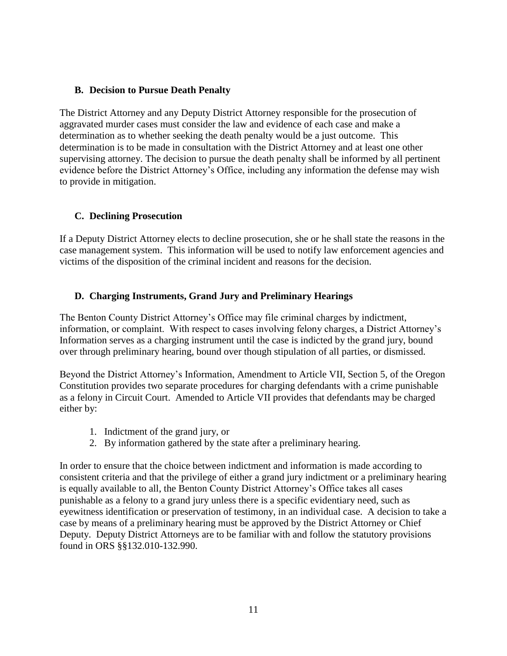## **B. Decision to Pursue Death Penalty**

The District Attorney and any Deputy District Attorney responsible for the prosecution of aggravated murder cases must consider the law and evidence of each case and make a determination as to whether seeking the death penalty would be a just outcome. This determination is to be made in consultation with the District Attorney and at least one other supervising attorney. The decision to pursue the death penalty shall be informed by all pertinent evidence before the District Attorney's Office, including any information the defense may wish to provide in mitigation.

# **C. Declining Prosecution**

If a Deputy District Attorney elects to decline prosecution, she or he shall state the reasons in the case management system. This information will be used to notify law enforcement agencies and victims of the disposition of the criminal incident and reasons for the decision.

# **D. Charging Instruments, Grand Jury and Preliminary Hearings**

The Benton County District Attorney's Office may file criminal charges by indictment, information, or complaint. With respect to cases involving felony charges, a District Attorney's Information serves as a charging instrument until the case is indicted by the grand jury, bound over through preliminary hearing, bound over though stipulation of all parties, or dismissed.

Beyond the District Attorney's Information, Amendment to Article VII, Section 5, of the Oregon Constitution provides two separate procedures for charging defendants with a crime punishable as a felony in Circuit Court. Amended to Article VII provides that defendants may be charged either by:

- 1. Indictment of the grand jury, or
- 2. By information gathered by the state after a preliminary hearing.

In order to ensure that the choice between indictment and information is made according to consistent criteria and that the privilege of either a grand jury indictment or a preliminary hearing is equally available to all, the Benton County District Attorney's Office takes all cases punishable as a felony to a grand jury unless there is a specific evidentiary need, such as eyewitness identification or preservation of testimony, in an individual case. A decision to take a case by means of a preliminary hearing must be approved by the District Attorney or Chief Deputy. Deputy District Attorneys are to be familiar with and follow the statutory provisions found in ORS §§132.010-132.990.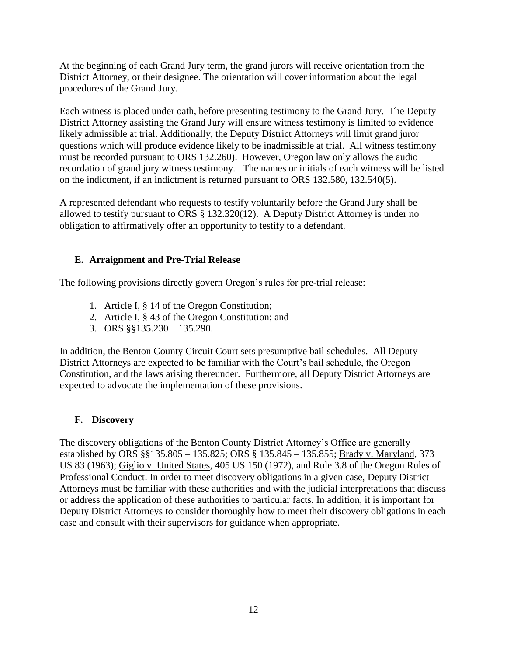At the beginning of each Grand Jury term, the grand jurors will receive orientation from the District Attorney, or their designee. The orientation will cover information about the legal procedures of the Grand Jury.

Each witness is placed under oath, before presenting testimony to the Grand Jury. The Deputy District Attorney assisting the Grand Jury will ensure witness testimony is limited to evidence likely admissible at trial. Additionally, the Deputy District Attorneys will limit grand juror questions which will produce evidence likely to be inadmissible at trial. All witness testimony must be recorded pursuant to ORS 132.260). However, Oregon law only allows the audio recordation of grand jury witness testimony. The names or initials of each witness will be listed on the indictment, if an indictment is returned pursuant to ORS 132.580, 132.540(5).

A represented defendant who requests to testify voluntarily before the Grand Jury shall be allowed to testify pursuant to ORS § 132.320(12). A Deputy District Attorney is under no obligation to affirmatively offer an opportunity to testify to a defendant.

# **E. Arraignment and Pre-Trial Release**

The following provisions directly govern Oregon's rules for pre-trial release:

- 1. Article I, § 14 of the Oregon Constitution;
- 2. Article I, § 43 of the Oregon Constitution; and
- 3. ORS §§135.230 135.290.

In addition, the Benton County Circuit Court sets presumptive bail schedules. All Deputy District Attorneys are expected to be familiar with the Court's bail schedule, the Oregon Constitution, and the laws arising thereunder. Furthermore, all Deputy District Attorneys are expected to advocate the implementation of these provisions.

# **F. Discovery**

The discovery obligations of the Benton County District Attorney's Office are generally established by ORS §§135.805 – 135.825; ORS § 135.845 – 135.855; Brady v. Maryland, 373 US 83 (1963); Giglio v. United States, 405 US 150 (1972), and Rule 3.8 of the Oregon Rules of Professional Conduct. In order to meet discovery obligations in a given case, Deputy District Attorneys must be familiar with these authorities and with the judicial interpretations that discuss or address the application of these authorities to particular facts. In addition, it is important for Deputy District Attorneys to consider thoroughly how to meet their discovery obligations in each case and consult with their supervisors for guidance when appropriate.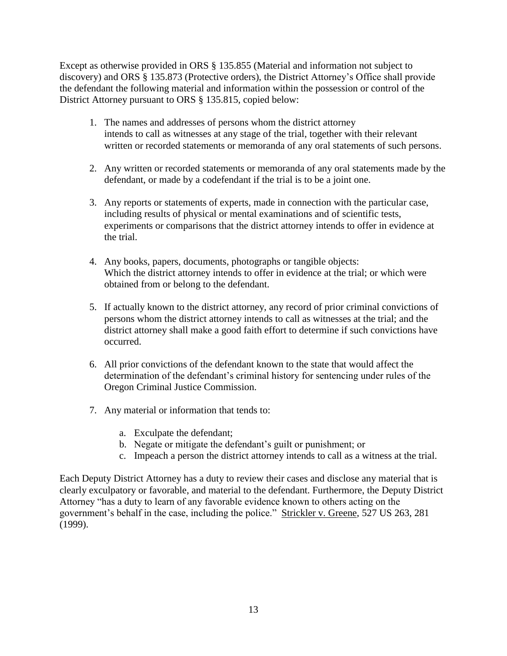Except as otherwise provided in ORS § 135.855 (Material and information not subject to discovery) and ORS § 135.873 (Protective orders), the District Attorney's Office shall provide the defendant the following material and information within the possession or control of the District Attorney pursuant to ORS § 135.815, copied below:

- 1. The names and addresses of persons whom the district attorney intends to call as witnesses at any stage of the trial, together with their relevant written or recorded statements or memoranda of any oral statements of such persons.
- 2. Any written or recorded statements or memoranda of any oral statements made by the defendant, or made by a codefendant if the trial is to be a joint one.
- 3. Any reports or statements of experts, made in connection with the particular case, including results of physical or mental examinations and of scientific tests, experiments or comparisons that the district attorney intends to offer in evidence at the trial.
- 4. Any books, papers, documents, photographs or tangible objects: Which the district attorney intends to offer in evidence at the trial; or which were obtained from or belong to the defendant.
- 5. If actually known to the district attorney, any record of prior criminal convictions of persons whom the district attorney intends to call as witnesses at the trial; and the district attorney shall make a good faith effort to determine if such convictions have occurred.
- 6. All prior convictions of the defendant known to the state that would affect the determination of the defendant's criminal history for sentencing under rules of the Oregon Criminal Justice Commission.
- 7. Any material or information that tends to:
	- a. Exculpate the defendant;
	- b. Negate or mitigate the defendant's guilt or punishment; or
	- c. Impeach a person the district attorney intends to call as a witness at the trial.

Each Deputy District Attorney has a duty to review their cases and disclose any material that is clearly exculpatory or favorable, and material to the defendant. Furthermore, the Deputy District Attorney "has a duty to learn of any favorable evidence known to others acting on the government's behalf in the case, including the police." Strickler v. Greene, 527 US 263, 281 (1999).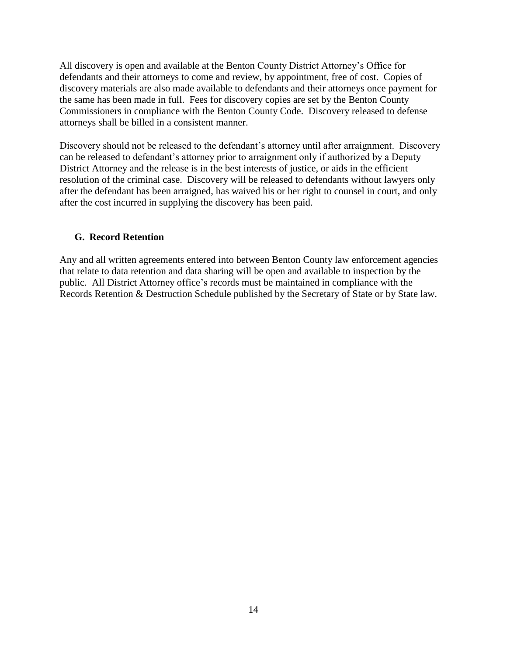All discovery is open and available at the Benton County District Attorney's Office for defendants and their attorneys to come and review, by appointment, free of cost. Copies of discovery materials are also made available to defendants and their attorneys once payment for the same has been made in full. Fees for discovery copies are set by the Benton County Commissioners in compliance with the Benton County Code. Discovery released to defense attorneys shall be billed in a consistent manner.

Discovery should not be released to the defendant's attorney until after arraignment. Discovery can be released to defendant's attorney prior to arraignment only if authorized by a Deputy District Attorney and the release is in the best interests of justice, or aids in the efficient resolution of the criminal case. Discovery will be released to defendants without lawyers only after the defendant has been arraigned, has waived his or her right to counsel in court, and only after the cost incurred in supplying the discovery has been paid.

#### **G. Record Retention**

Any and all written agreements entered into between Benton County law enforcement agencies that relate to data retention and data sharing will be open and available to inspection by the public. All District Attorney office's records must be maintained in compliance with the Records Retention & Destruction Schedule published by the Secretary of State or by State law.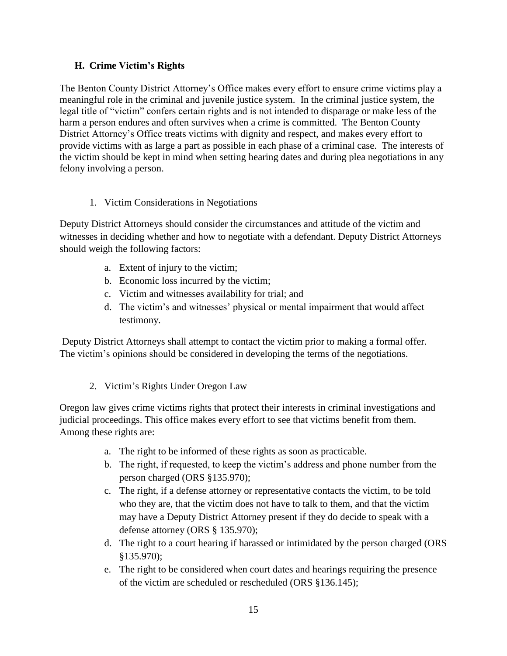# **H. Crime Victim's Rights**

The Benton County District Attorney's Office makes every effort to ensure crime victims play a meaningful role in the criminal and juvenile justice system. In the criminal justice system, the legal title of "victim" confers certain rights and is not intended to disparage or make less of the harm a person endures and often survives when a crime is committed. The Benton County District Attorney's Office treats victims with dignity and respect, and makes every effort to provide victims with as large a part as possible in each phase of a criminal case. The interests of the victim should be kept in mind when setting hearing dates and during plea negotiations in any felony involving a person.

# 1. Victim Considerations in Negotiations

Deputy District Attorneys should consider the circumstances and attitude of the victim and witnesses in deciding whether and how to negotiate with a defendant. Deputy District Attorneys should weigh the following factors:

- a. Extent of injury to the victim;
- b. Economic loss incurred by the victim;
- c. Victim and witnesses availability for trial; and
- d. The victim's and witnesses' physical or mental impairment that would affect testimony.

Deputy District Attorneys shall attempt to contact the victim prior to making a formal offer. The victim's opinions should be considered in developing the terms of the negotiations.

2. Victim's Rights Under Oregon Law

Oregon law gives crime victims rights that protect their interests in criminal investigations and judicial proceedings. This office makes every effort to see that victims benefit from them. Among these rights are:

- a. The right to be informed of these rights as soon as practicable.
- b. The right, if requested, to keep the victim's address and phone number from the person charged (ORS §135.970);
- c. The right, if a defense attorney or representative contacts the victim, to be told who they are, that the victim does not have to talk to them, and that the victim may have a Deputy District Attorney present if they do decide to speak with a defense attorney (ORS § 135.970);
- d. The right to a court hearing if harassed or intimidated by the person charged (ORS §135.970);
- e. The right to be considered when court dates and hearings requiring the presence of the victim are scheduled or rescheduled (ORS §136.145);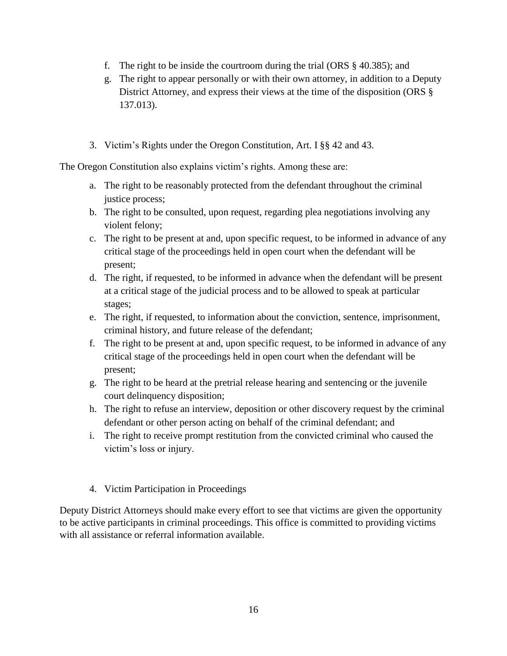- f. The right to be inside the courtroom during the trial (ORS § 40.385); and
- g. The right to appear personally or with their own attorney, in addition to a Deputy District Attorney, and express their views at the time of the disposition (ORS § 137.013).
- 3. Victim's Rights under the Oregon Constitution, Art. I §§ 42 and 43.

The Oregon Constitution also explains victim's rights. Among these are:

- a. The right to be reasonably protected from the defendant throughout the criminal justice process;
- b. The right to be consulted, upon request, regarding plea negotiations involving any violent felony;
- c. The right to be present at and, upon specific request, to be informed in advance of any critical stage of the proceedings held in open court when the defendant will be present;
- d. The right, if requested, to be informed in advance when the defendant will be present at a critical stage of the judicial process and to be allowed to speak at particular stages;
- e. The right, if requested, to information about the conviction, sentence, imprisonment, criminal history, and future release of the defendant;
- f. The right to be present at and, upon specific request, to be informed in advance of any critical stage of the proceedings held in open court when the defendant will be present;
- g. The right to be heard at the pretrial release hearing and sentencing or the juvenile court delinquency disposition;
- h. The right to refuse an interview, deposition or other discovery request by the criminal defendant or other person acting on behalf of the criminal defendant; and
- i. The right to receive prompt restitution from the convicted criminal who caused the victim's loss or injury.
- 4. Victim Participation in Proceedings

Deputy District Attorneys should make every effort to see that victims are given the opportunity to be active participants in criminal proceedings. This office is committed to providing victims with all assistance or referral information available.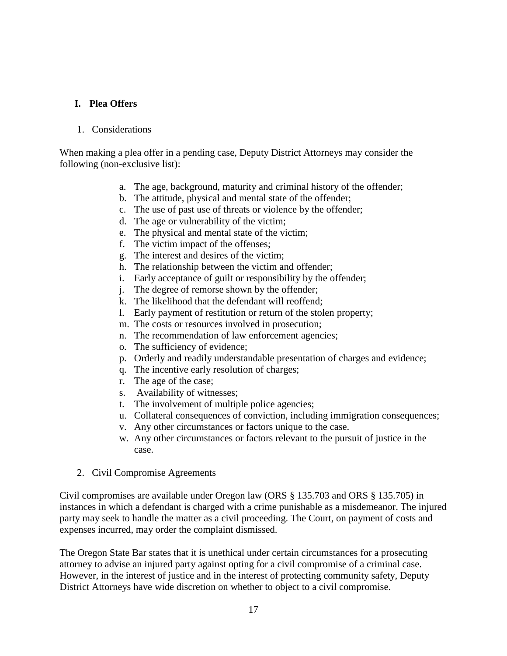## **I. Plea Offers**

#### 1. Considerations

When making a plea offer in a pending case, Deputy District Attorneys may consider the following (non-exclusive list):

- a. The age, background, maturity and criminal history of the offender;
- b. The attitude, physical and mental state of the offender;
- c. The use of past use of threats or violence by the offender;
- d. The age or vulnerability of the victim;
- e. The physical and mental state of the victim;
- f. The victim impact of the offenses;
- g. The interest and desires of the victim;
- h. The relationship between the victim and offender;
- i. Early acceptance of guilt or responsibility by the offender;
- j. The degree of remorse shown by the offender;
- k. The likelihood that the defendant will reoffend;
- l. Early payment of restitution or return of the stolen property;
- m. The costs or resources involved in prosecution;
- n. The recommendation of law enforcement agencies;
- o. The sufficiency of evidence;
- p. Orderly and readily understandable presentation of charges and evidence;
- q. The incentive early resolution of charges;
- r. The age of the case;
- s. Availability of witnesses;
- t. The involvement of multiple police agencies;
- u. Collateral consequences of conviction, including immigration consequences;
- v. Any other circumstances or factors unique to the case.
- w. Any other circumstances or factors relevant to the pursuit of justice in the case.
- 2. Civil Compromise Agreements

Civil compromises are available under Oregon law (ORS § 135.703 and ORS § 135.705) in instances in which a defendant is charged with a crime punishable as a misdemeanor. The injured party may seek to handle the matter as a civil proceeding. The Court, on payment of costs and expenses incurred, may order the complaint dismissed.

The Oregon State Bar states that it is unethical under certain circumstances for a prosecuting attorney to advise an injured party against opting for a civil compromise of a criminal case. However, in the interest of justice and in the interest of protecting community safety, Deputy District Attorneys have wide discretion on whether to object to a civil compromise.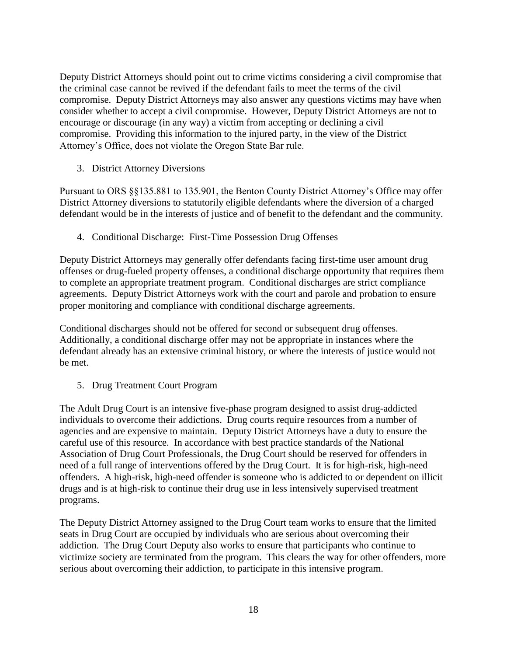Deputy District Attorneys should point out to crime victims considering a civil compromise that the criminal case cannot be revived if the defendant fails to meet the terms of the civil compromise. Deputy District Attorneys may also answer any questions victims may have when consider whether to accept a civil compromise. However, Deputy District Attorneys are not to encourage or discourage (in any way) a victim from accepting or declining a civil compromise. Providing this information to the injured party, in the view of the District Attorney's Office, does not violate the Oregon State Bar rule.

3. District Attorney Diversions

Pursuant to ORS §§135.881 to 135.901, the Benton County District Attorney's Office may offer District Attorney diversions to statutorily eligible defendants where the diversion of a charged defendant would be in the interests of justice and of benefit to the defendant and the community.

4. Conditional Discharge: First-Time Possession Drug Offenses

Deputy District Attorneys may generally offer defendants facing first-time user amount drug offenses or drug-fueled property offenses, a conditional discharge opportunity that requires them to complete an appropriate treatment program. Conditional discharges are strict compliance agreements. Deputy District Attorneys work with the court and parole and probation to ensure proper monitoring and compliance with conditional discharge agreements.

Conditional discharges should not be offered for second or subsequent drug offenses. Additionally, a conditional discharge offer may not be appropriate in instances where the defendant already has an extensive criminal history, or where the interests of justice would not be met.

5. Drug Treatment Court Program

The Adult Drug Court is an intensive five-phase program designed to assist drug-addicted individuals to overcome their addictions. Drug courts require resources from a number of agencies and are expensive to maintain. Deputy District Attorneys have a duty to ensure the careful use of this resource. In accordance with best practice standards of the National Association of Drug Court Professionals, the Drug Court should be reserved for offenders in need of a full range of interventions offered by the Drug Court. It is for high-risk, high-need offenders. A high-risk, high-need offender is someone who is addicted to or dependent on illicit drugs and is at high-risk to continue their drug use in less intensively supervised treatment programs.

The Deputy District Attorney assigned to the Drug Court team works to ensure that the limited seats in Drug Court are occupied by individuals who are serious about overcoming their addiction. The Drug Court Deputy also works to ensure that participants who continue to victimize society are terminated from the program. This clears the way for other offenders, more serious about overcoming their addiction, to participate in this intensive program.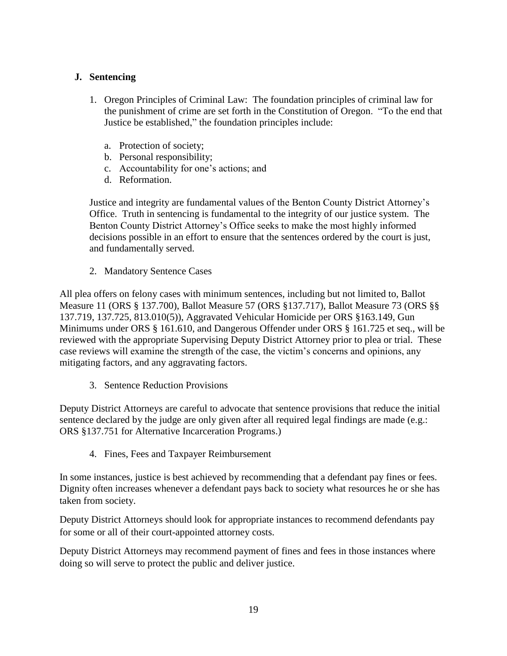# **J. Sentencing**

- 1. Oregon Principles of Criminal Law: The foundation principles of criminal law for the punishment of crime are set forth in the Constitution of Oregon. "To the end that Justice be established," the foundation principles include:
	- a. Protection of society;
	- b. Personal responsibility;
	- c. Accountability for one's actions; and
	- d. Reformation.

Justice and integrity are fundamental values of the Benton County District Attorney's Office. Truth in sentencing is fundamental to the integrity of our justice system. The Benton County District Attorney's Office seeks to make the most highly informed decisions possible in an effort to ensure that the sentences ordered by the court is just, and fundamentally served.

2. Mandatory Sentence Cases

All plea offers on felony cases with minimum sentences, including but not limited to, Ballot Measure 11 (ORS § 137.700), Ballot Measure 57 (ORS §137.717), Ballot Measure 73 (ORS §§ 137.719, 137.725, 813.010(5)), Aggravated Vehicular Homicide per ORS §163.149, Gun Minimums under ORS § 161.610, and Dangerous Offender under ORS § 161.725 et seq., will be reviewed with the appropriate Supervising Deputy District Attorney prior to plea or trial. These case reviews will examine the strength of the case, the victim's concerns and opinions, any mitigating factors, and any aggravating factors.

3. Sentence Reduction Provisions

Deputy District Attorneys are careful to advocate that sentence provisions that reduce the initial sentence declared by the judge are only given after all required legal findings are made (e.g.: ORS §137.751 for Alternative Incarceration Programs.)

4. Fines, Fees and Taxpayer Reimbursement

In some instances, justice is best achieved by recommending that a defendant pay fines or fees. Dignity often increases whenever a defendant pays back to society what resources he or she has taken from society.

Deputy District Attorneys should look for appropriate instances to recommend defendants pay for some or all of their court-appointed attorney costs.

Deputy District Attorneys may recommend payment of fines and fees in those instances where doing so will serve to protect the public and deliver justice.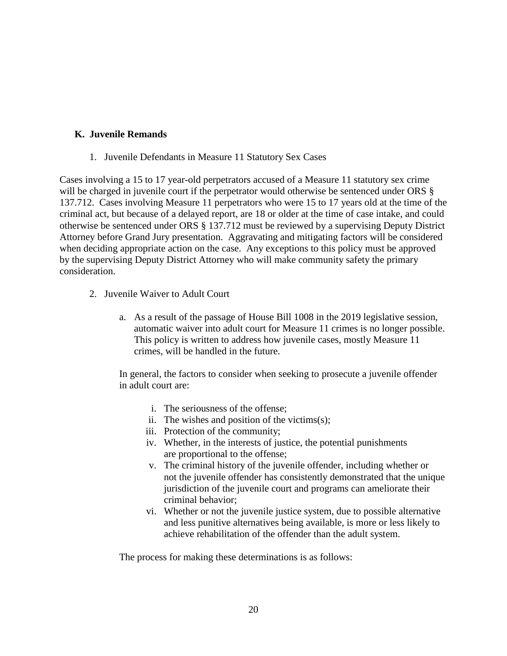#### **K. Juvenile Remands**

1. Juvenile Defendants in Measure 11 Statutory Sex Cases

Cases involving a 15 to 17 year-old perpetrators accused of a Measure 11 statutory sex crime will be charged in juvenile court if the perpetrator would otherwise be sentenced under ORS § 137.712. Cases involving Measure 11 perpetrators who were 15 to 17 years old at the time of the criminal act, but because of a delayed report, are 18 or older at the time of case intake, and could otherwise be sentenced under ORS § 137.712 must be reviewed by a supervising Deputy District Attorney before Grand Jury presentation. Aggravating and mitigating factors will be considered when deciding appropriate action on the case. Any exceptions to this policy must be approved by the supervising Deputy District Attorney who will make community safety the primary consideration.

- 2. Juvenile Waiver to Adult Court
	- a. As a result of the passage of House Bill 1008 in the 2019 legislative session, automatic waiver into adult court for Measure 11 crimes is no longer possible. This policy is written to address how juvenile cases, mostly Measure 11 crimes, will be handled in the future.

In general, the factors to consider when seeking to prosecute a juvenile offender in adult court are:

- i. The seriousness of the offense;
- ii. The wishes and position of the victims(s);
- iii. Protection of the community;
- iv. Whether, in the interests of justice, the potential punishments are proportional to the offense;
- v. The criminal history of the juvenile offender, including whether or not the juvenile offender has consistently demonstrated that the unique jurisdiction of the juvenile court and programs can ameliorate their criminal behavior;
- vi. Whether or not the juvenile justice system, due to possible alternative and less punitive alternatives being available, is more or less likely to achieve rehabilitation of the offender than the adult system.

The process for making these determinations is as follows: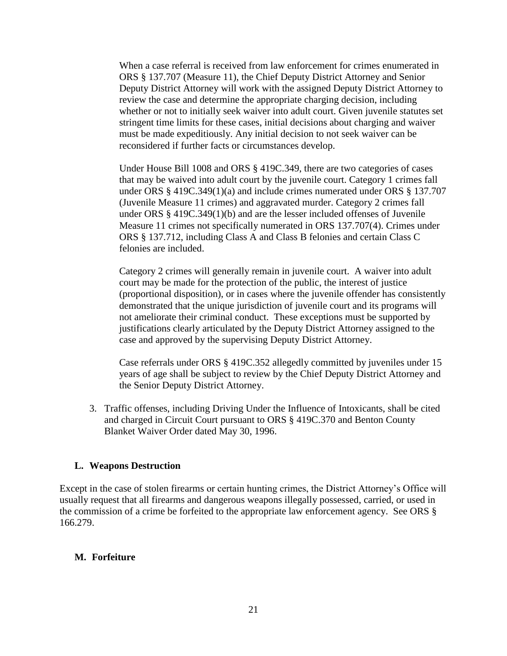When a case referral is received from law enforcement for crimes enumerated in ORS § 137.707 (Measure 11), the Chief Deputy District Attorney and Senior Deputy District Attorney will work with the assigned Deputy District Attorney to review the case and determine the appropriate charging decision, including whether or not to initially seek waiver into adult court. Given juvenile statutes set stringent time limits for these cases, initial decisions about charging and waiver must be made expeditiously. Any initial decision to not seek waiver can be reconsidered if further facts or circumstances develop.

Under House Bill 1008 and ORS § 419C.349, there are two categories of cases that may be waived into adult court by the juvenile court. Category 1 crimes fall under ORS § 419C.349(1)(a) and include crimes numerated under ORS § 137.707 (Juvenile Measure 11 crimes) and aggravated murder. Category 2 crimes fall under ORS § 419C.349(1)(b) and are the lesser included offenses of Juvenile Measure 11 crimes not specifically numerated in ORS 137.707(4). Crimes under ORS § 137.712, including Class A and Class B felonies and certain Class C felonies are included.

Category 2 crimes will generally remain in juvenile court. A waiver into adult court may be made for the protection of the public, the interest of justice (proportional disposition), or in cases where the juvenile offender has consistently demonstrated that the unique jurisdiction of juvenile court and its programs will not ameliorate their criminal conduct. These exceptions must be supported by justifications clearly articulated by the Deputy District Attorney assigned to the case and approved by the supervising Deputy District Attorney.

Case referrals under ORS § 419C.352 allegedly committed by juveniles under 15 years of age shall be subject to review by the Chief Deputy District Attorney and the Senior Deputy District Attorney.

3. Traffic offenses, including Driving Under the Influence of Intoxicants, shall be cited and charged in Circuit Court pursuant to ORS § 419C.370 and Benton County Blanket Waiver Order dated May 30, 1996.

#### **L. Weapons Destruction**

Except in the case of stolen firearms or certain hunting crimes, the District Attorney's Office will usually request that all firearms and dangerous weapons illegally possessed, carried, or used in the commission of a crime be forfeited to the appropriate law enforcement agency. See ORS § 166.279.

#### **M. Forfeiture**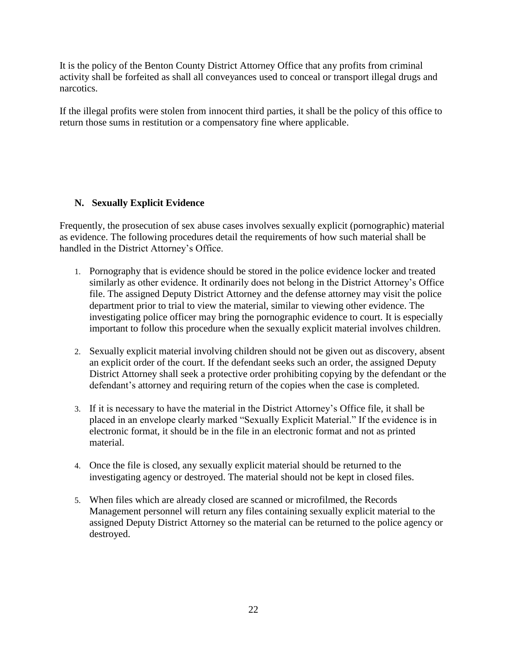It is the policy of the Benton County District Attorney Office that any profits from criminal activity shall be forfeited as shall all conveyances used to conceal or transport illegal drugs and narcotics.

If the illegal profits were stolen from innocent third parties, it shall be the policy of this office to return those sums in restitution or a compensatory fine where applicable.

# **N. Sexually Explicit Evidence**

Frequently, the prosecution of sex abuse cases involves sexually explicit (pornographic) material as evidence. The following procedures detail the requirements of how such material shall be handled in the District Attorney's Office.

- 1. Pornography that is evidence should be stored in the police evidence locker and treated similarly as other evidence. It ordinarily does not belong in the District Attorney's Office file. The assigned Deputy District Attorney and the defense attorney may visit the police department prior to trial to view the material, similar to viewing other evidence. The investigating police officer may bring the pornographic evidence to court. It is especially important to follow this procedure when the sexually explicit material involves children.
- 2. Sexually explicit material involving children should not be given out as discovery, absent an explicit order of the court. If the defendant seeks such an order, the assigned Deputy District Attorney shall seek a protective order prohibiting copying by the defendant or the defendant's attorney and requiring return of the copies when the case is completed.
- 3. If it is necessary to have the material in the District Attorney's Office file, it shall be placed in an envelope clearly marked "Sexually Explicit Material." If the evidence is in electronic format, it should be in the file in an electronic format and not as printed material.
- 4. Once the file is closed, any sexually explicit material should be returned to the investigating agency or destroyed. The material should not be kept in closed files.
- 5. When files which are already closed are scanned or microfilmed, the Records Management personnel will return any files containing sexually explicit material to the assigned Deputy District Attorney so the material can be returned to the police agency or destroyed.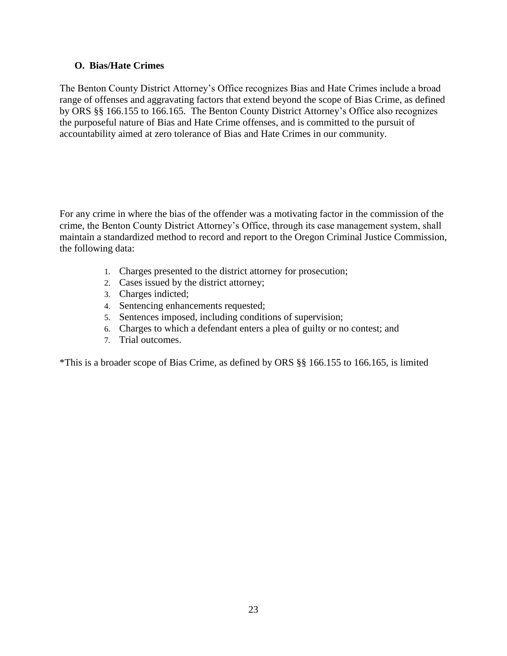## **O. Bias/Hate Crimes**

The Benton County District Attorney's Office recognizes Bias and Hate Crimes include a broad range of offenses and aggravating factors that extend beyond the scope of Bias Crime, as defined by ORS §§ 166.155 to 166.165. The Benton County District Attorney's Office also recognizes the purposeful nature of Bias and Hate Crime offenses, and is committed to the pursuit of accountability aimed at zero tolerance of Bias and Hate Crimes in our community.

For any crime in where the bias of the offender was a motivating factor in the commission of the crime, the Benton County District Attorney's Office, through its case management system, shall maintain a standardized method to record and report to the Oregon Criminal Justice Commission, the following data:

- 1. Charges presented to the district attorney for prosecution;
- 2. Cases issued by the district attorney;
- 3. Charges indicted;
- 4. Sentencing enhancements requested;
- 5. Sentences imposed, including conditions of supervision;
- 6. Charges to which a defendant enters a plea of guilty or no contest; and
- 7. Trial outcomes.

\*This is a broader scope of Bias Crime, as defined by ORS §§ 166.155 to 166.165, is limited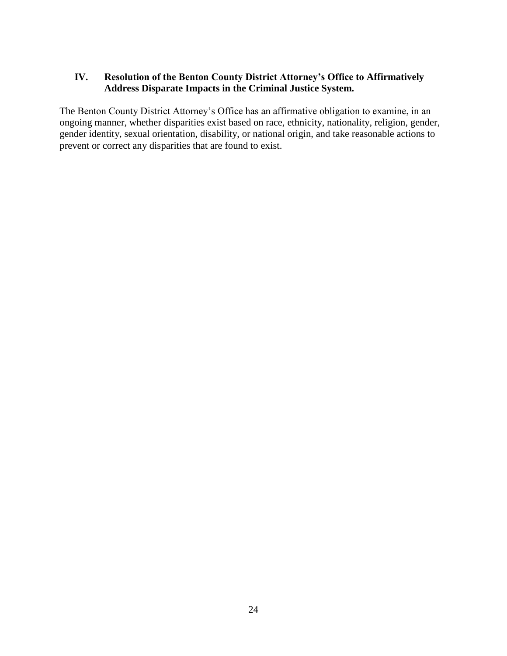# **IV. Resolution of the Benton County District Attorney's Office to Affirmatively Address Disparate Impacts in the Criminal Justice System.**

The Benton County District Attorney's Office has an affirmative obligation to examine, in an ongoing manner, whether disparities exist based on race, ethnicity, nationality, religion, gender, gender identity, sexual orientation, disability, or national origin, and take reasonable actions to prevent or correct any disparities that are found to exist.